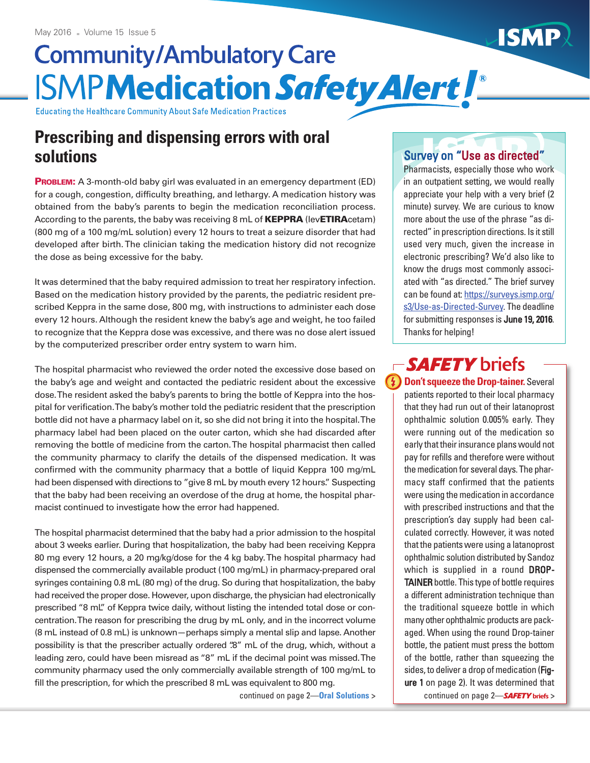# **Community/Ambulatory Care ISMPMedication Safety Alert L**

Educating the Healthcare Community About Safe Medication Practices

# **Prescribing and dispensing errors with oral solutions**

**PROBLEM:** A 3-month-old baby girl was evaluated in an emergency department (ED) for a cough, congestion, difficulty breathing, and lethargy. A medication history was obtained from the baby's parents to begin the medication reconciliation process. According to the parents, the baby was receiving 8 mL of **KEPPRA** (lev**ETIRA**cetam) (800 mg of a 100 mg/mL solution) every 12 hours to treat a seizure disorder that had developed after birth.The clinician taking the medication history did not recognize the dose as being excessive for the baby.

It was determined that the baby required admission to treat her respiratory infection. Based on the medication history provided by the parents, the pediatric resident prescribed Keppra in the same dose, 800 mg, with instructions to administer each dose every 12 hours. Although the resident knew the baby's age and weight, he too failed to recognize that the Keppra dose was excessive, and there was no dose alert issued by the computerized prescriber order entry system to warn him.

The hospital pharmacist who reviewed the order noted the excessive dose based on the baby's age and weight and contacted the pediatric resident about the excessive dose.The resident asked the baby's parents to bring the bottle of Keppra into the hospital for verification.The baby's mother told the pediatric resident that the prescription bottle did not have a pharmacy label on it, so she did not bring it into the hospital.The pharmacy label had been placed on the outer carton, which she had discarded after removing the bottle of medicine from the carton.The hospital pharmacist then called the community pharmacy to clarify the details of the dispensed medication. It was confirmed with the community pharmacy that a bottle of liquid Keppra 100 mg/mL had been dispensed with directions to "give 8 mL by mouth every 12 hours." Suspecting that the baby had been receiving an overdose of the drug at home, the hospital pharmacist continued to investigate how the error had happened.

The hospital pharmacist determined that the baby had a prior admission to the hospital about 3 weeks earlier. During that hospitalization, the baby had been receiving Keppra 80 mg every 12 hours, a 20 mg/kg/dose for the 4 kg baby.The hospital pharmacy had dispensed the commercially available product (100 mg/mL) in pharmacy-prepared oral syringes containing 0.8 mL (80 mg) of the drug. So during that hospitalization, the baby had received the proper dose. However, upon discharge, the physician had electronically prescribed "8 mL" of Keppra twice daily, without listing the intended total dose or concentration.The reason for prescribing the drug by mL only, and in the incorrect volume (8 mL instead of 0.8 mL) is unknown—perhaps simply a mental slip and lapse. Another possibility is that the prescriber actually ordered ".8" mL of the drug, which, without a leading zero, could have been misread as "8" mL if the decimal point was missed.The community pharmacy used the only commercially available strength of 100 mg/mL to fill the prescription, for which the prescribed 8 mL was equivalent to 800 mg.

#### Survey on "Use as directed"

Pharmacists, especially those who work in an outpatient setting, we would really appreciate your help with a very brief (2 minute) survey. We are curious to know more about the use of the phrase "as directed" in prescription directions. Is it still used very much, given the increase in electronic prescribing? We'd also like to know the drugs most commonly associated with "as directed." The brief survey can be found at: [https://surveys.ismp.org/](https://surveys.ismp.org/s3/Use-as-Directed-Survey) [s3/Use-as-Directed-Survey.](https://surveys.ismp.org/s3/Use-as-Directed-Survey) The deadline for submitting responses is June 19, 2016. Thanks for helping!

# -SAFETY briefs

**<del>f</del> Don't squeeze the Drop-tainer.** Several patients reported to their local pharmacy that they had run out of their latanoprost ophthalmic solution 0.005% early. They were running out of the medication so early that their insurance plans would not pay for refills and therefore were without the medication for several days. The pharmacy staff confirmed that the patients were using the medication in accordance with prescribed instructions and that the prescription's day supply had been calculated correctly. However, it was noted that the patients were using a latanoprost ophthalmic solution distributed by Sandoz which is supplied in a round **DROP-**TAINER bottle. This type of bottle requires a different administration technique than the traditional squeeze bottle in which many other ophthalmic products are packaged. When using the round Drop-tainer bottle, the patient must press the bottom of the bottle, rather than squeezing the sides, to deliver a drop of medication (Figure 1 on page 2). It was determined that continued on page 2—**Oral Solutions >** continued on page 2—*SAFETY* **briefs >**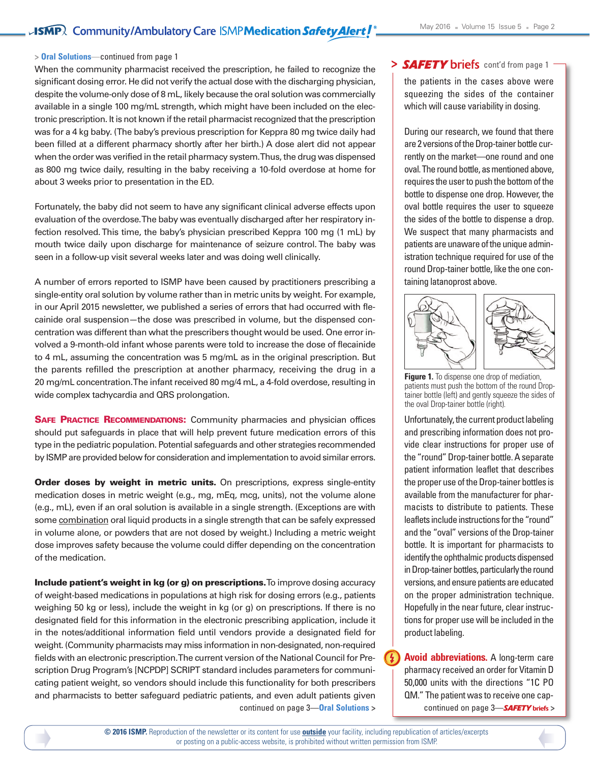#### **> Oral Solutions**—continued from page 1

When the community pharmacist received the prescription, he failed to recognize the significant dosing error. He did not verify the actual dose with the discharging physician, despite the volume-only dose of 8 mL, likely because the oral solution was commercially available in a single 100 mg/mL strength, which might have been included on the electronic prescription. It is not known if the retail pharmacistrecognized that the prescription was for a 4 kg baby. (The baby's previous prescription for Keppra 80 mg twice daily had been filled at a different pharmacy shortly after her birth.) A dose alert did not appear when the order was verified in the retail pharmacy system.Thus, the drug was dispensed as 800 mg twice daily, resulting in the baby receiving a 10-fold overdose at home for about 3 weeks prior to presentation in the ED.

Fortunately, the baby did not seem to have any significant clinical adverse effects upon evaluation of the overdose.The baby was eventually discharged after her respiratory infection resolved.This time, the baby's physician prescribed Keppra 100 mg (1 mL) by mouth twice daily upon discharge for maintenance of seizure control. The baby was seen in a follow-up visit several weeks later and was doing well clinically.

A number of errors reported to ISMP have been caused by practitioners prescribing a single-entity oral solution by volume rather than in metric units by weight. For example, in our April 2015 newsletter, we published a series of errors that had occurred with flecainide oral suspension—the dose was prescribed in volume, but the dispensed concentration was different than what the prescribers thought would be used. One error involved a 9-month-old infant whose parents were told to increase the dose of flecainide to 4 mL, assuming the concentration was 5 mg/mL as in the original prescription. But the parents refilled the prescription at another pharmacy, receiving the drug in a 20 mg/mL concentration. The infant received 80 mg/4 mL, a 4-fold overdose, resulting in wide complex tachycardia and QRS prolongation.

**SAFE PRACTICE RECOMMENDATIONS:** Community pharmacies and physician offices should put safeguards in place that will help prevent future medication errors of this type in the pediatric population. Potential safeguards and other strategies recommended by ISMP are provided below for consideration and implementation to avoid similar errors.

**Order doses by weight in metric units.** On prescriptions, express single-entity medication doses in metric weight (e.g., mg, mEq, mcg, units), not the volume alone (e.g., mL), even if an oral solution is available in a single strength. (Exceptions are with some combination oral liquid products in a single strength that can be safely expressed in volume alone, or powders that are not dosed by weight.) Including a metric weight dose improves safety because the volume could differ depending on the concentration of the medication.

**Include patient's weight in kg (or g) on prescriptions.**To improve dosing accuracy of weight-based medications in populations at high risk for dosing errors (e.g., patients weighing 50 kg or less), include the weight in kg (or g) on prescriptions. If there is no designated field for this information in the electronic prescribing application, include it in the notes/additional information field until vendors provide a designated field for weight. (Community pharmacists may miss information in non-designated, non-required fields with an electronic prescription.The current version of the National Council for Prescription Drug Program's [NCPDP] SCRIPT standard includes parameters for communicating patient weight, so vendors should include this functionality for both prescribers and pharmacists to better safeguard pediatric patients, and even adult patients given continued on page 3—**Oral Solutions >**

#### > SAFETY briefs cont'd from page 1

the patients in the cases above were squeezing the sides of the container which will cause variability in dosing.

During our research, we found that there are 2 versions of the Drop-tainer bottle currently on the market—one round and one oval. The round bottle, as mentioned above, requires the user to push the bottom of the bottle to dispense one drop. However, the oval bottle requires the user to squeeze the sides of the bottle to dispense a drop. We suspect that many pharmacists and patients are unaware of the unique administration technique required for use of the round Drop-tainer bottle, like the one containing latanoprost above.



**Figure 1.** To dispense one drop of mediation, patients must push the bottom of the round Droptainer bottle (left) and gently squeeze the sides of the oval Drop-tainer bottle (right).

Unfortunately, the current product labeling and prescribing information does not provide clear instructions for proper use of the "round" Drop-tainer bottle. A separate patient information leaflet that describes the proper use of the Drop-tainer bottles is available from the manufacturer for pharmacists to distribute to patients. These leaflets include instructions for the "round" and the "oval" versions of the Drop-tainer bottle. It is important for pharmacists to identify the ophthalmic products dispensed in Drop-tainer bottles, particularly the round versions, and ensure patients are educated on the proper administration technique. Hopefully in the near future, clear instructions for proper use will be included in the product labeling.

**Avoid abbreviations.** A long-term care pharmacy received an order for Vitamin D 50,000 units with the directions "1C PO QM." The patient was to receive one capcontinued on page 3—*SAFETY* **briefs >**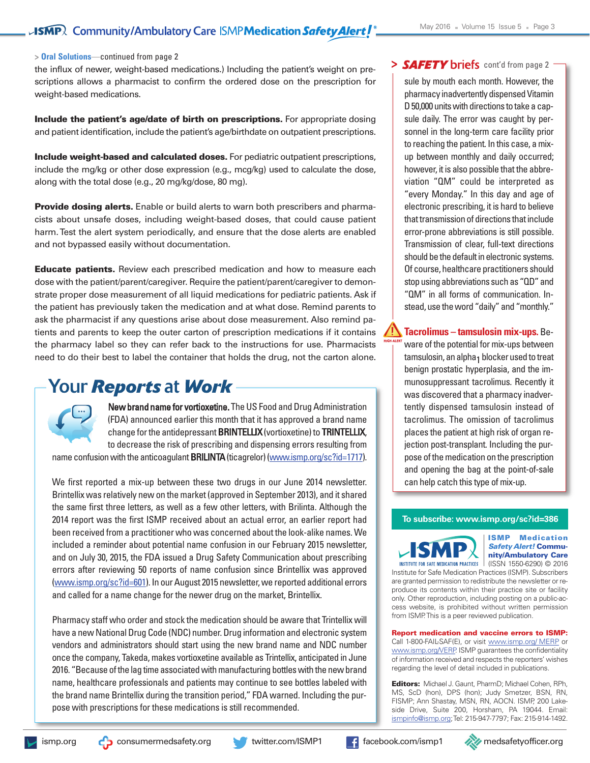#### **> Oral Solutions**—continued from page 2

the influx of newer, weight-based medications.) Including the patient's weight on prescriptions allows a pharmacist to confirm the ordered dose on the prescription for weight-based medications.

**Include the patient's age/date of birth on prescriptions.** For appropriate dosing and patient identification, include the patient's age/birthdate on outpatient prescriptions.

**Include weight-based and calculated doses.** For pediatric outpatient prescriptions, include the mg/kg or other dose expression (e.g., mcg/kg) used to calculate the dose, along with the total dose (e.g., 20 mg/kg/dose, 80 mg).

**Provide dosing alerts.** Enable or build alerts to warn both prescribers and pharmacists about unsafe doses, including weight-based doses, that could cause patient harm.Test the alert system periodically, and ensure that the dose alerts are enabled and not bypassed easily without documentation.

**Educate patients.** Review each prescribed medication and how to measure each dose with the patient/parent/caregiver. Require the patient/parent/caregiver to demonstrate proper dose measurement of all liquid medications for pediatric patients. Ask if the patient has previously taken the medication and at what dose. Remind parents to ask the pharmacist if any questions arise about dose measurement. Also remind patients and parents to keep the outer carton of prescription medications if it contains the pharmacy label so they can refer back to the instructions for use. Pharmacists need to do their best to label the container that holds the drug, not the carton alone.

### **Your Reports at Work**



New brand name for vortioxetine. The US Food and Drug Administration (FDA) announced earlier this month that it has approved a brand name change for the antidepressant BRINTELLIX (vortioxetine) to TRINTELLIX, to decrease the risk of prescribing and dispensing errors resulting from

name confusion with the anticoagulant **BRILINTA** (ticagrelor) (www.ismp.org/sc?id=1717).

We first reported a mix-up between these two drugs in our June 2014 newsletter. Brintellix was relatively new on the market (approved in September 2013), and it shared the same first three letters, as well as a few other letters, with Brilinta. Although the 2014 report was the first ISMP received about an actual error, an earlier report had been received from a practitioner who was concerned about the look-alike names. We included a reminder about potential name confusion in our February 2015 newsletter, and on July 30, 2015, the FDA issued a Drug Safety Communication about prescribing errors after reviewing 50 reports of name confusion since Brintellix was approved (www.ismp.org/sc?id=601). In ourAugust 2015 newsletter, we reported additional errors and called for a name change for the newer drug on the market, Brintellix.

Pharmacy staff who order and stock the medication should be aware that Trintellix will have a new National Drug Code (NDC) number. Drug information and electronic system vendors and administrators should start using the new brand name and NDC number once the company, Takeda, makes vortioxetine available as Trintellix, anticipated in June 2016. "Because of the lag time associated with manufacturing bottles with the new brand name, healthcare professionals and patients may continue to see bottles labeled with the brand name Brintellix during the transition period," FDA warned. Including the purpose with prescriptions for these medications is still recommended.

#### > SAFETY briefs cont'd from page 2

sule by mouth each month. However, the pharmacy inadvertently dispensed Vitamin D 50,000 units with directions to take a capsule daily. The error was caught by personnel in the long-term care facility prior to reaching the patient. In this case, amixup between monthly and daily occurred; however, it is also possible that the abbreviation "QM" could be interpreted as "every Monday." In this day and age of electronic prescribing, it is hard to believe that transmission of directions that include error-prone abbreviations is still possible. Transmission of clear, full-text directions should be the default in electronic systems. Of course, healthcare practitioners should stop using abbreviations such as "QD" and "QM" in all forms of communication. Instead, use theword "daily" and "monthly."

**Tacrolimus – tamsulosin mix-ups.** Beware of the potential for mix-ups between  $t$ amsulosin, an alpha<sub>1</sub> blocker used to treat benign prostatic hyperplasia, and the immunosuppressant tacrolimus. Recently it was discovered that a pharmacy inadvertently dispensed tamsulosin instead of tacrolimus. The omission of tacrolimus places the patient at high risk of organ rejection post-transplant. Including the purpose of the medication on the prescription and opening the bag at the point-of-sale can help catch this type of mix-up.

#### **To subscribe: www.ismp.org/sc?id=386**



**ISMP Medication** *Safety Alert!* **Community/Ambulatory Care**

INSTITUTE FOR SAFE MEDICATION PRACTICES (ISSN 1550-6290) © 2016 Institute for Safe Medication Practices (ISMP). Subscribers are granted permission to redistribute the newsletter or reproduce its contents within their practice site or facility only. Other reproduction, including posting on a public-access website, is prohibited without written permission from ISMP.This is a peer reviewed publication.

**Report medication and vaccine errors to ISMP:** Call 1-800-FAIL-SAF(E), or visit [www.ismp.org/](http://www.ismp.org/MERP) MERP or www.ismp.org/VERP. ISMP guarantees the confidentiality of information received and respects the reporters' wishes regarding the level of detail included in publications.

**Editors:** Michael J. Gaunt, PharmD; Michael Cohen, RPh, MS, ScD (hon), DPS (hon); Judy Smetzer, BSN, RN, FISMP; Ann Shastay, MSN, RN, AOCN. ISMP, 200 Lakeside Drive, Suite 200, Horsham, PA 19044. Email: ismpinfo@ismp.org;Tel: 215-947-7797; Fax: 215-914-1492.

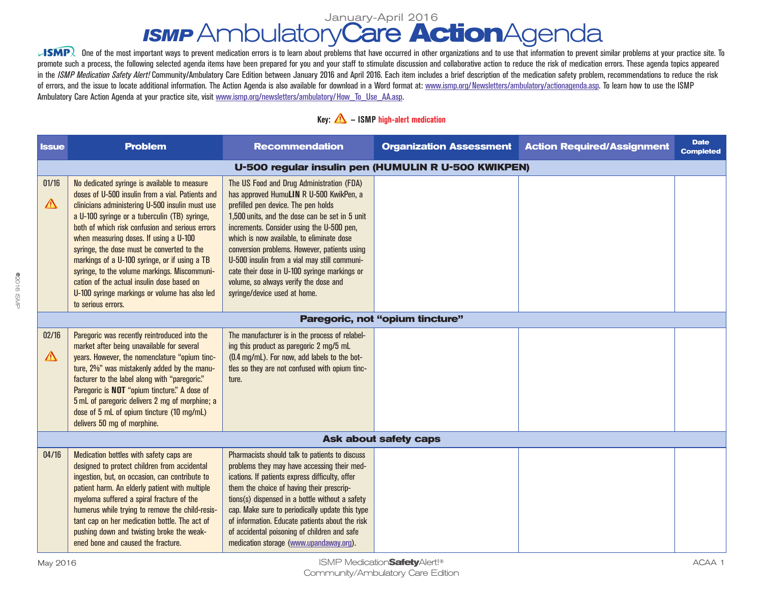# *ISMP* AmbulatoryCare **Action**Agenda January-April 2016

 $\sqrt{\text{SMP}}$  One of the most important ways to prevent medication errors is to learn about problems that have occurred in other organizations and to use that information to prevent similar problems at your practice site. To promote such a process, the following selected agenda items have been prepared for you and your staff to stimulate discussion and collaborative action to reduce the risk of medication errors. These agenda topics appeared in the ISMP Medication Safety Alert! Community/Ambulatory Care Edition between January 2016 and April 2016. Each item includes a brief description of the medication safety problem, recommendations to reduce the risk of errors, and the issue to locate additional information. The Action Agenda is also available for download in a Word format at: www.ismp.org/Newsletters/ambulatory/actionagenda.asp. To learn how to use the ISMP Ambulatory Care Action Agenda at your practice site, visit www.ismp.org/newsletters/ambulatory/How\_To\_Use\_AA.asp.

#### **Key: — ISMP high-alert medication**

| <b>Issue</b>                 | <b>Problem</b>                                                                                                                                                                                                                                                                                                                                                                                                                                                                                                                                                        | <b>Recommendation</b>                                                                                                                                                                                                                                                                                                                                                                                                                                                                            | <b>Organization Assessment</b>  | <b>Action Required/Assignment</b> | <b>Date</b><br><b>Completed</b> |  |  |  |
|------------------------------|-----------------------------------------------------------------------------------------------------------------------------------------------------------------------------------------------------------------------------------------------------------------------------------------------------------------------------------------------------------------------------------------------------------------------------------------------------------------------------------------------------------------------------------------------------------------------|--------------------------------------------------------------------------------------------------------------------------------------------------------------------------------------------------------------------------------------------------------------------------------------------------------------------------------------------------------------------------------------------------------------------------------------------------------------------------------------------------|---------------------------------|-----------------------------------|---------------------------------|--|--|--|
|                              | U-500 regular insulin pen (HUMULIN R U-500 KWIKPEN)                                                                                                                                                                                                                                                                                                                                                                                                                                                                                                                   |                                                                                                                                                                                                                                                                                                                                                                                                                                                                                                  |                                 |                                   |                                 |  |  |  |
| 01/16<br>$\Delta$            | No dedicated syringe is available to measure<br>doses of U-500 insulin from a vial. Patients and<br>clinicians administering U-500 insulin must use<br>a U-100 syringe or a tuberculin (TB) syringe,<br>both of which risk confusion and serious errors<br>when measuring doses. If using a U-100<br>syringe, the dose must be converted to the<br>markings of a U-100 syringe, or if using a TB<br>syringe, to the volume markings. Miscommuni-<br>cation of the actual insulin dose based on<br>U-100 syringe markings or volume has also led<br>to serious errors. | The US Food and Drug Administration (FDA)<br>has approved HumuLIN R U-500 KwikPen, a<br>prefilled pen device. The pen holds<br>1,500 units, and the dose can be set in 5 unit<br>increments. Consider using the U-500 pen,<br>which is now available, to eliminate dose<br>conversion problems. However, patients using<br>U-500 insulin from a vial may still communi-<br>cate their dose in U-100 syringe markings or<br>volume, so always verify the dose and<br>syringe/device used at home. |                                 |                                   |                                 |  |  |  |
|                              |                                                                                                                                                                                                                                                                                                                                                                                                                                                                                                                                                                       |                                                                                                                                                                                                                                                                                                                                                                                                                                                                                                  | Paregoric, not "opium tincture" |                                   |                                 |  |  |  |
| 02/16<br>$\triangle$         | Paregoric was recently reintroduced into the<br>market after being unavailable for several<br>years. However, the nomenclature "opium tinc-<br>ture, 2%" was mistakenly added by the manu-<br>facturer to the label along with "paregoric."<br>Paregoric is NOT "opium tincture." A dose of<br>5 mL of paregoric delivers 2 mg of morphine; a<br>dose of 5 mL of opium tincture (10 mg/mL)<br>delivers 50 mg of morphine.                                                                                                                                             | The manufacturer is in the process of relabel-<br>ing this product as paregoric 2 mg/5 mL<br>(0.4 mg/mL). For now, add labels to the bot-<br>tles so they are not confused with opium tinc-<br>ture.                                                                                                                                                                                                                                                                                             |                                 |                                   |                                 |  |  |  |
| <b>Ask about safety caps</b> |                                                                                                                                                                                                                                                                                                                                                                                                                                                                                                                                                                       |                                                                                                                                                                                                                                                                                                                                                                                                                                                                                                  |                                 |                                   |                                 |  |  |  |
| 04/16                        | Medication bottles with safety caps are<br>designed to protect children from accidental<br>ingestion, but, on occasion, can contribute to<br>patient harm. An elderly patient with multiple<br>myeloma suffered a spiral fracture of the<br>humerus while trying to remove the child-resis-<br>tant cap on her medication bottle. The act of<br>pushing down and twisting broke the weak-<br>ened bone and caused the fracture.                                                                                                                                       | Pharmacists should talk to patients to discuss<br>problems they may have accessing their med-<br>ications. If patients express difficulty, offer<br>them the choice of having their prescrip-<br>tions(s) dispensed in a bottle without a safety<br>cap. Make sure to periodically update this type<br>of information. Educate patients about the risk<br>of accidental poisoning of children and safe<br>medication storage (www.upandaway.org).                                                |                                 |                                   |                                 |  |  |  |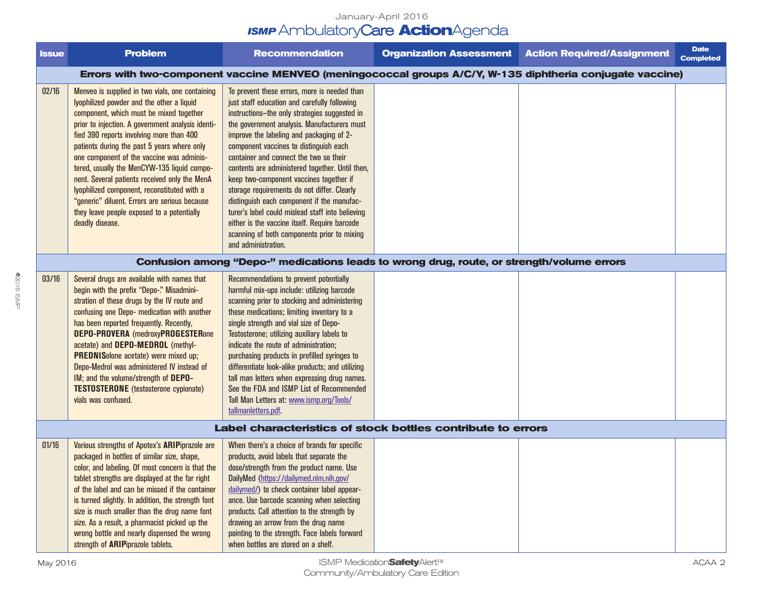#### January-April 2016 *ISMP* AmbulatoryCare **Action**Agenda

| <b>Issue</b> | <b>Problem</b>                                                                                                                                                                                                                                                                                                                                                                                                                                                                                                                                                                                        | <b>Recommendation</b>                                                                                                                                                                                                                                                                                                                                                                                                                                                                                                                                                                                                                                                                              | <b>Organization Assessment</b> | <b>Action Required/Assignment</b> | <b>Date</b><br><b>Completed</b> |  |  |  |
|--------------|-------------------------------------------------------------------------------------------------------------------------------------------------------------------------------------------------------------------------------------------------------------------------------------------------------------------------------------------------------------------------------------------------------------------------------------------------------------------------------------------------------------------------------------------------------------------------------------------------------|----------------------------------------------------------------------------------------------------------------------------------------------------------------------------------------------------------------------------------------------------------------------------------------------------------------------------------------------------------------------------------------------------------------------------------------------------------------------------------------------------------------------------------------------------------------------------------------------------------------------------------------------------------------------------------------------------|--------------------------------|-----------------------------------|---------------------------------|--|--|--|
|              | Errors with two-component vaccine MENVEO (meningococcal groups A/C/Y, W-135 diphtheria conjugate vaccine)                                                                                                                                                                                                                                                                                                                                                                                                                                                                                             |                                                                                                                                                                                                                                                                                                                                                                                                                                                                                                                                                                                                                                                                                                    |                                |                                   |                                 |  |  |  |
| 02/16        | Menveo is supplied in two vials, one containing<br>lyophilized powder and the other a liquid<br>component, which must be mixed together<br>prior to injection. A government analysis identi-<br>fied 390 reports involving more than 400<br>patients during the past 5 years where only<br>one component of the vaccine was adminis-<br>tered, usually the MenCYW-135 liquid compo-<br>nent. Several patients received only the MenA<br>lyophilized component, reconstituted with a<br>"generic" diluent. Errors are serious because<br>they leave people exposed to a potentially<br>deadly disease. | To prevent these errors, more is needed than<br>just staff education and carefully following<br>instructions-the only strategies suggested in<br>the government analysis. Manufacturers must<br>improve the labeling and packaging of 2-<br>component vaccines to distinguish each<br>container and connect the two so their<br>contents are administered together. Until then,<br>keep two-component vaccines together if<br>storage requirements do not differ. Clearly<br>distinguish each component if the manufac-<br>turer's label could mislead staff into believing<br>either is the vaccine itself. Require barcode<br>scanning of both components prior to mixing<br>and administration. |                                |                                   |                                 |  |  |  |
|              | Confusion among "Depo-" medications leads to wrong drug, route, or strength/volume errors                                                                                                                                                                                                                                                                                                                                                                                                                                                                                                             |                                                                                                                                                                                                                                                                                                                                                                                                                                                                                                                                                                                                                                                                                                    |                                |                                   |                                 |  |  |  |
| 03/16        | Several drugs are available with names that<br>begin with the prefix "Depo-." Misadmini-<br>stration of these drugs by the IV route and<br>confusing one Depo- medication with another<br>has been reported frequently. Recently,<br><b>DEPO-PROVERA</b> (medroxyPROGESTERone<br>acetate) and DEPO-MEDROL (methyl-<br><b>PREDNISolone acetate) were mixed up;</b><br>Depo-Medrol was administered IV instead of<br>IM; and the volume/strength of DEPO-<br><b>TESTOSTERONE</b> (testosterone cypionate)<br>vials was confused.                                                                        | Recommendations to prevent potentially<br>harmful mix-ups include: utilizing barcode<br>scanning prior to stocking and administering<br>these medications; limiting inventory to a<br>single strength and vial size of Depo-<br>Testosterone; utilizing auxiliary labels to<br>indicate the route of administration;<br>purchasing products in prefilled syringes to<br>differentiate look-alike products; and utilizing<br>tall man letters when expressing drug names.<br>See the FDA and ISMP List of Recommended<br>Tall Man Letters at: www.ismp.org/Tools/<br>tallmanletters.pdf.                                                                                                            |                                |                                   |                                 |  |  |  |
|              | Label characteristics of stock bottles contribute to errors                                                                                                                                                                                                                                                                                                                                                                                                                                                                                                                                           |                                                                                                                                                                                                                                                                                                                                                                                                                                                                                                                                                                                                                                                                                                    |                                |                                   |                                 |  |  |  |
| 01/16        | Various strengths of Apotex's ARIPiprazole are<br>packaged in bottles of similar size, shape,<br>color, and labeling. Of most concern is that the<br>tablet strengths are displayed at the far right<br>of the label and can be missed if the container<br>is turned slightly. In addition, the strength font<br>size is much smaller than the drug name font<br>size. As a result, a pharmacist picked up the<br>wrong bottle and nearly dispensed the wrong<br>strength of <b>ARIP</b> iprazole tablets.                                                                                            | When there's a choice of brands for specific<br>products, avoid labels that separate the<br>dose/strength from the product name. Use<br>DailyMed (https://dailymed.nlm.nih.gov/<br>dailymed/) to check container label appear-<br>ance. Use barcode scanning when selecting<br>products. Call attention to the strength by<br>drawing an arrow from the drug name<br>pointing to the strength. Face labels forward<br>when bottles are stored on a shelf.                                                                                                                                                                                                                                          |                                |                                   |                                 |  |  |  |

©2016 ISMP